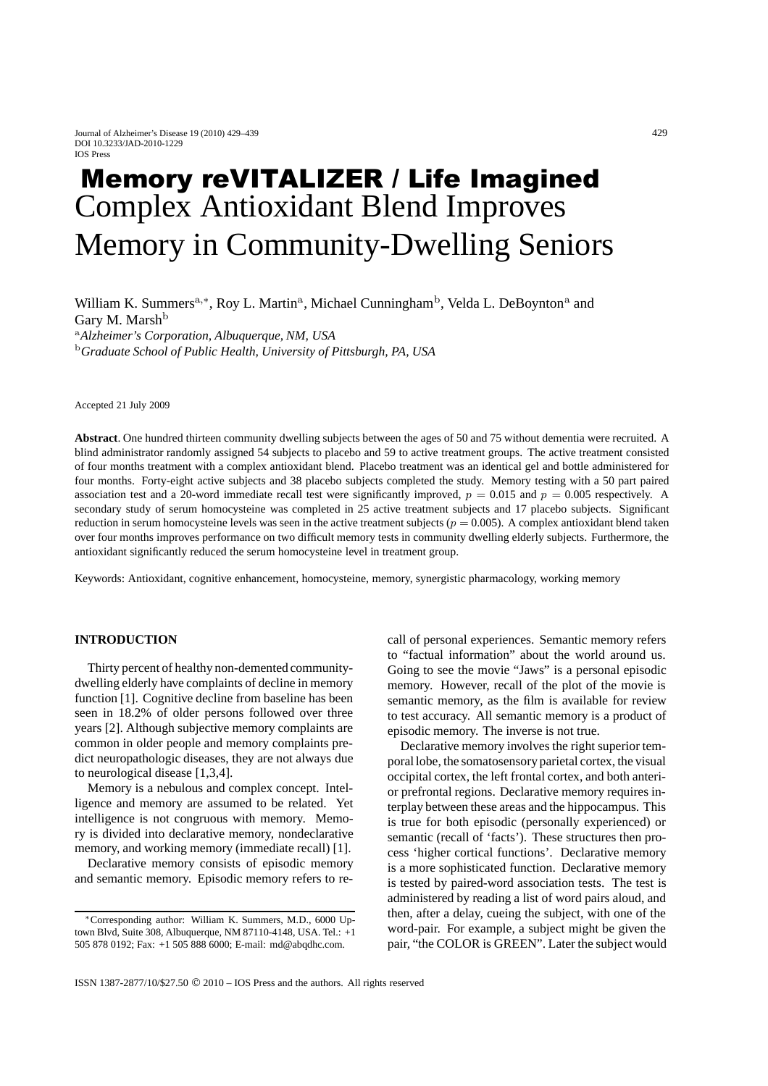# Complex Antioxidant Blend Improves Memory in Community-Dwelling Seniors Memory reVITALIZER / Life Imagined

William K. Summers<sup>a,∗</sup>, Roy L. Martin<sup>a</sup>, Michael Cunningham<sup>b</sup>, Velda L. DeBoynton<sup>a</sup> and Gary M. Marsh<sup>b</sup>

<sup>a</sup>*Alzheimer's Corporation, Albuquerque, NM, USA* <sup>b</sup>*Graduate School of Public Health, University of Pittsburgh, PA, USA*

Accepted 21 July 2009

**Abstract**. One hundred thirteen community dwelling subjects between the ages of 50 and 75 without dementia were recruited. A blind administrator randomly assigned 54 subjects to placebo and 59 to active treatment groups. The active treatment consisted of four months treatment with a complex antioxidant blend. Placebo treatment was an identical gel and bottle administered for four months. Forty-eight active subjects and 38 placebo subjects completed the study. Memory testing with a 50 part paired association test and a 20-word immediate recall test were significantly improved,  $p = 0.015$  and  $p = 0.005$  respectively. A secondary study of serum homocysteine was completed in 25 active treatment subjects and 17 placebo subjects. Significant reduction in serum homocysteine levels was seen in the active treatment subjects ( $p = 0.005$ ). A complex antioxidant blend taken over four months improves performance on two difficult memory tests in community dwelling elderly subjects. Furthermore, the antioxidant significantly reduced the serum homocysteine level in treatment group.

Keywords: Antioxidant, cognitive enhancement, homocysteine, memory, synergistic pharmacology, working memory

# **INTRODUCTION**

Thirty percent of healthy non-demented communitydwelling elderly have complaints of decline in memory function [1]. Cognitive decline from baseline has been seen in 18.2% of older persons followed over three years [2]. Although subjective memory complaints are common in older people and memory complaints predict neuropathologic diseases, they are not always due to neurological disease [1,3,4].

Memory is a nebulous and complex concept. Intelligence and memory are assumed to be related. Yet intelligence is not congruous with memory. Memory is divided into declarative memory, nondeclarative memory, and working memory (immediate recall) [1].

Declarative memory consists of episodic memory and semantic memory. Episodic memory refers to recall of personal experiences. Semantic memory refers to "factual information" about the world around us. Going to see the movie "Jaws" is a personal episodic memory. However, recall of the plot of the movie is semantic memory, as the film is available for review to test accuracy. All semantic memory is a product of episodic memory. The inverse is not true.

Declarative memory involves the right superior temporal lobe, the somatosensory parietal cortex, the visual occipital cortex, the left frontal cortex, and both anterior prefrontal regions. Declarative memory requires interplay between these areas and the hippocampus. This is true for both episodic (personally experienced) or semantic (recall of 'facts'). These structures then process 'higher cortical functions'. Declarative memory is a more sophisticated function. Declarative memory is tested by paired-word association tests. The test is administered by reading a list of word pairs aloud, and then, after a delay, cueing the subject, with one of the word-pair. For example, a subject might be given the pair, "the COLOR is GREEN". Later the subject would

<sup>∗</sup>Corresponding author: William K. Summers, M.D., 6000 Uptown Blvd, Suite 308, Albuquerque, NM 87110-4148, USA. Tel.: +1 505 878 0192; Fax: +1 505 888 6000; E-mail: md@abqdhc.com.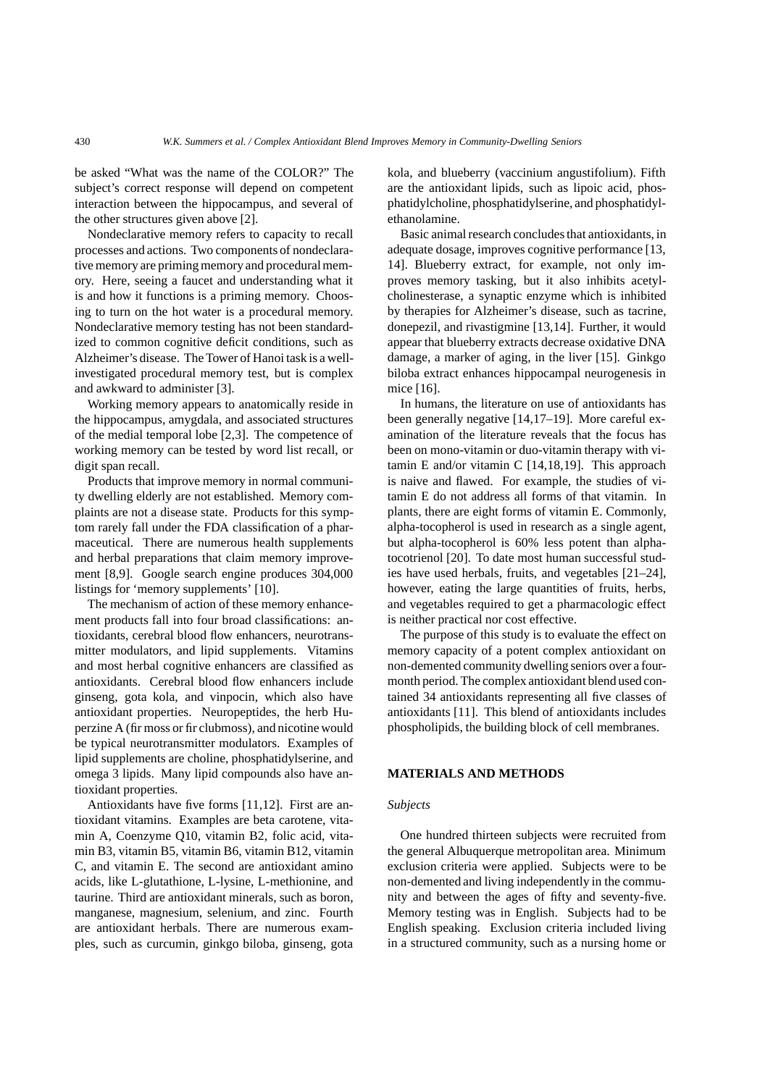be asked "What was the name of the COLOR?" The subject's correct response will depend on competent interaction between the hippocampus, and several of the other structures given above [2].

Nondeclarative memory refers to capacity to recall processes and actions. Two components of nondeclarative memory are priming memory and procedural memory. Here, seeing a faucet and understanding what it is and how it functions is a priming memory. Choosing to turn on the hot water is a procedural memory. Nondeclarative memory testing has not been standardized to common cognitive deficit conditions, such as Alzheimer's disease. The Tower of Hanoi task is a wellinvestigated procedural memory test, but is complex and awkward to administer [3].

Working memory appears to anatomically reside in the hippocampus, amygdala, and associated structures of the medial temporal lobe [2,3]. The competence of working memory can be tested by word list recall, or digit span recall.

Products that improve memory in normal community dwelling elderly are not established. Memory complaints are not a disease state. Products for this symptom rarely fall under the FDA classification of a pharmaceutical. There are numerous health supplements and herbal preparations that claim memory improvement [8,9]. Google search engine produces 304,000 listings for 'memory supplements' [10].

The mechanism of action of these memory enhancement products fall into four broad classifications: antioxidants, cerebral blood flow enhancers, neurotransmitter modulators, and lipid supplements. Vitamins and most herbal cognitive enhancers are classified as antioxidants. Cerebral blood flow enhancers include ginseng, gota kola, and vinpocin, which also have antioxidant properties. Neuropeptides, the herb Huperzine A (fir moss or fir clubmoss), and nicotine would be typical neurotransmitter modulators. Examples of lipid supplements are choline, phosphatidylserine, and omega 3 lipids. Many lipid compounds also have antioxidant properties.

Antioxidants have five forms [11,12]. First are antioxidant vitamins. Examples are beta carotene, vitamin A, Coenzyme Q10, vitamin B2, folic acid, vitamin B3, vitamin B5, vitamin B6, vitamin B12, vitamin C, and vitamin E. The second are antioxidant amino acids, like L-glutathione, L-lysine, L-methionine, and taurine. Third are antioxidant minerals, such as boron, manganese, magnesium, selenium, and zinc. Fourth are antioxidant herbals. There are numerous examples, such as curcumin, ginkgo biloba, ginseng, gota kola, and blueberry (vaccinium angustifolium). Fifth are the antioxidant lipids, such as lipoic acid, phosphatidylcholine, phosphatidylserine, and phosphatidylethanolamine.

Basic animal research concludes that antioxidants, in adequate dosage, improves cognitive performance [13, 14]. Blueberry extract, for example, not only improves memory tasking, but it also inhibits acetylcholinesterase, a synaptic enzyme which is inhibited by therapies for Alzheimer's disease, such as tacrine, donepezil, and rivastigmine [13,14]. Further, it would appear that blueberry extracts decrease oxidative DNA damage, a marker of aging, in the liver [15]. Ginkgo biloba extract enhances hippocampal neurogenesis in mice [16].

In humans, the literature on use of antioxidants has been generally negative [14,17–19]. More careful examination of the literature reveals that the focus has been on mono-vitamin or duo-vitamin therapy with vitamin E and/or vitamin C [14,18,19]. This approach is naive and flawed. For example, the studies of vitamin E do not address all forms of that vitamin. In plants, there are eight forms of vitamin E. Commonly, alpha-tocopherol is used in research as a single agent, but alpha-tocopherol is 60% less potent than alphatocotrienol [20]. To date most human successful studies have used herbals, fruits, and vegetables [21–24], however, eating the large quantities of fruits, herbs, and vegetables required to get a pharmacologic effect is neither practical nor cost effective.

The purpose of this study is to evaluate the effect on memory capacity of a potent complex antioxidant on non-demented community dwelling seniors over a fourmonth period. The complex antioxidant blend used contained 34 antioxidants representing all five classes of antioxidants [11]. This blend of antioxidants includes phospholipids, the building block of cell membranes.

## **MATERIALS AND METHODS**

#### *Subjects*

One hundred thirteen subjects were recruited from the general Albuquerque metropolitan area. Minimum exclusion criteria were applied. Subjects were to be non-demented and living independently in the community and between the ages of fifty and seventy-five. Memory testing was in English. Subjects had to be English speaking. Exclusion criteria included living in a structured community, such as a nursing home or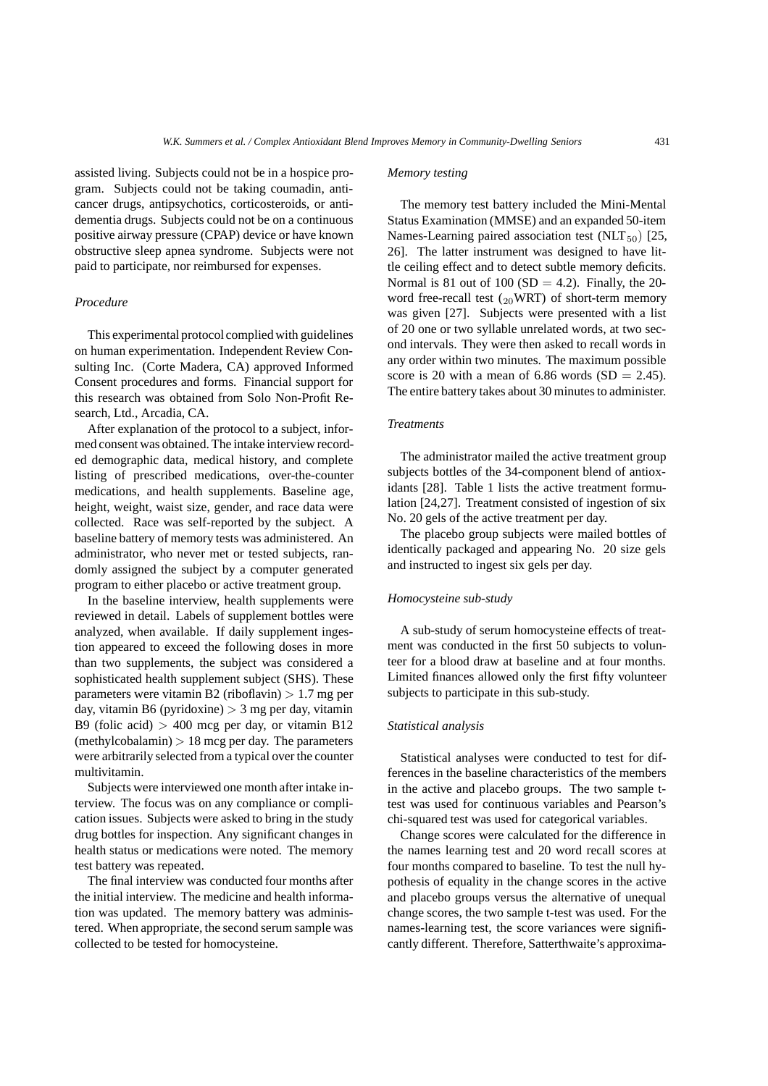assisted living. Subjects could not be in a hospice program. Subjects could not be taking coumadin, anticancer drugs, antipsychotics, corticosteroids, or antidementia drugs. Subjects could not be on a continuous positive airway pressure (CPAP) device or have known obstructive sleep apnea syndrome. Subjects were not paid to participate, nor reimbursed for expenses.

## *Procedure*

This experimental protocol complied with guidelines on human experimentation. Independent Review Consulting Inc. (Corte Madera, CA) approved Informed Consent procedures and forms. Financial support for this research was obtained from Solo Non-Profit Research, Ltd., Arcadia, CA.

After explanation of the protocol to a subject, informed consent was obtained. The intake interview recorded demographic data, medical history, and complete listing of prescribed medications, over-the-counter medications, and health supplements. Baseline age, height, weight, waist size, gender, and race data were collected. Race was self-reported by the subject. A baseline battery of memory tests was administered. An administrator, who never met or tested subjects, randomly assigned the subject by a computer generated program to either placebo or active treatment group.

In the baseline interview, health supplements were reviewed in detail. Labels of supplement bottles were analyzed, when available. If daily supplement ingestion appeared to exceed the following doses in more than two supplements, the subject was considered a sophisticated health supplement subject (SHS). These parameters were vitamin B2 (riboflavin) *>* 1.7 mg per day, vitamin B6 (pyridoxine) *>* 3 mg per day, vitamin B9 (folic acid) *>* 400 mcg per day, or vitamin B12 (methylcobalamin) *>* 18 mcg per day. The parameters were arbitrarily selected from a typical over the counter multivitamin.

Subjects were interviewed one month after intake interview. The focus was on any compliance or complication issues. Subjects were asked to bring in the study drug bottles for inspection. Any significant changes in health status or medications were noted. The memory test battery was repeated.

The final interview was conducted four months after the initial interview. The medicine and health information was updated. The memory battery was administered. When appropriate, the second serum sample was collected to be tested for homocysteine.

#### *Memory testing*

The memory test battery included the Mini-Mental Status Examination (MMSE) and an expanded 50-item Names-Learning paired association test (NLT $_{50}$ ) [25, 26]. The latter instrument was designed to have little ceiling effect and to detect subtle memory deficits. Normal is 81 out of 100 (SD = 4.2). Finally, the 20word free-recall test  $({}_{20}$ WRT) of short-term memory was given [27]. Subjects were presented with a list of 20 one or two syllable unrelated words, at two second intervals. They were then asked to recall words in any order within two minutes. The maximum possible score is 20 with a mean of 6.86 words  $(SD = 2.45)$ . The entire battery takes about 30 minutes to administer.

## *Treatments*

The administrator mailed the active treatment group subjects bottles of the 34-component blend of antioxidants [28]. Table 1 lists the active treatment formulation [24,27]. Treatment consisted of ingestion of six No. 20 gels of the active treatment per day.

The placebo group subjects were mailed bottles of identically packaged and appearing No. 20 size gels and instructed to ingest six gels per day.

#### *Homocysteine sub-study*

A sub-study of serum homocysteine effects of treatment was conducted in the first 50 subjects to volunteer for a blood draw at baseline and at four months. Limited finances allowed only the first fifty volunteer subjects to participate in this sub-study.

#### *Statistical analysis*

Statistical analyses were conducted to test for differences in the baseline characteristics of the members in the active and placebo groups. The two sample ttest was used for continuous variables and Pearson's chi-squared test was used for categorical variables.

Change scores were calculated for the difference in the names learning test and 20 word recall scores at four months compared to baseline. To test the null hypothesis of equality in the change scores in the active and placebo groups versus the alternative of unequal change scores, the two sample t-test was used. For the names-learning test, the score variances were significantly different. Therefore, Satterthwaite's approxima-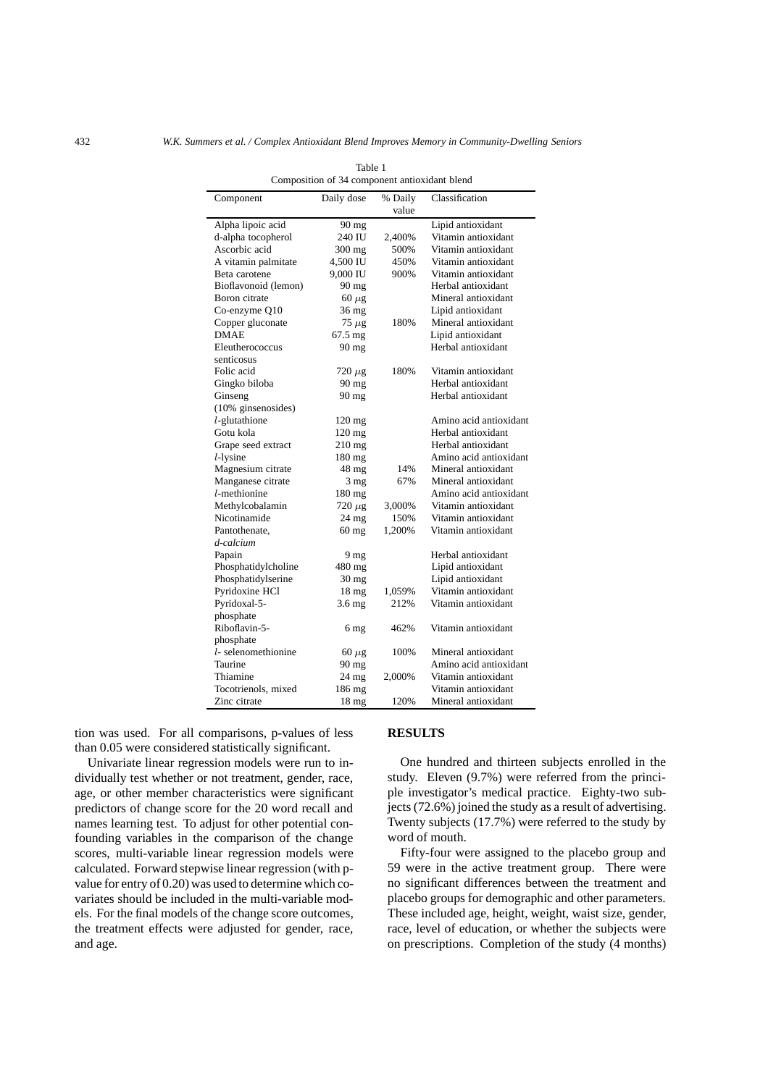| Component              | Daily dose        | % Daily | Classification         |
|------------------------|-------------------|---------|------------------------|
|                        |                   | value   |                        |
| Alpha lipoic acid      | 90 mg             |         | Lipid antioxidant      |
| d-alpha tocopherol     | 240 IU            | 2,400%  | Vitamin antioxidant    |
| Ascorbic acid          | $300$ mg          | 500%    | Vitamin antioxidant    |
| A vitamin palmitate    | 4,500 IU          | 450%    | Vitamin antioxidant    |
| Beta carotene          | 9,000 IU          | 900%    | Vitamin antioxidant    |
| Bioflavonoid (lemon)   | $90 \text{ mg}$   |         | Herbal antioxidant     |
| Boron citrate          | $60 \mu$ g        |         | Mineral antioxidant    |
| Co-enzyme Q10          | 36 mg             |         | Lipid antioxidant      |
| Copper gluconate       | $75 \mu g$        | 180%    | Mineral antioxidant    |
| DMAE                   | $67.5 \text{ mg}$ |         | Lipid antioxidant      |
| Eleutherococcus        | 90 mg             |         | Herbal antioxidant     |
| senticosus             |                   |         |                        |
| Folic acid             | 720 $\mu$ g       | 180%    | Vitamin antioxidant    |
| Gingko biloba          | 90 mg             |         | Herbal antioxidant     |
| Ginseng                | $90 \text{ mg}$   |         | Herbal antioxidant     |
| (10% ginsenosides)     |                   |         |                        |
| $l$ -glutathione       | $120 \text{ mg}$  |         | Amino acid antioxidant |
| Gotu kola              | 120 mg            |         | Herbal antioxidant     |
| Grape seed extract     | $210$ mg          |         | Herbal antioxidant     |
| $l$ -lysine            | $180$ mg          |         | Amino acid antioxidant |
| Magnesium citrate      | $48 \text{ mg}$   | 14%     | Mineral antioxidant    |
| Manganese citrate      | $3 \text{ mg}$    | 67%     | Mineral antioxidant    |
| l-methionine           | $180$ mg          |         | Amino acid antioxidant |
| Methylcobalamin        | $720 \mu$ g       | 3,000%  | Vitamin antioxidant    |
| Nicotinamide           | $24$ mg           | 150%    | Vitamin antioxidant    |
| Pantothenate.          | $60$ mg           | 1,200%  | Vitamin antioxidant    |
| d-calcium              |                   |         |                        |
| Papain                 | 9 mg              |         | Herbal antioxidant     |
| Phosphatidylcholine    | 480 mg            |         | Lipid antioxidant      |
| Phosphatidylserine     | $30$ mg           |         | Lipid antioxidant      |
| Pyridoxine HCl         | 18 <sub>mg</sub>  | 1,059%  | Vitamin antioxidant    |
| Pyridoxal-5-           | 3.6 <sub>mg</sub> | 212%    | Vitamin antioxidant    |
| phosphate              |                   |         |                        |
| Riboflavin-5-          | 6 mg              | 462%    | Vitamin antioxidant    |
| phosphate              |                   |         |                        |
| $l$ - selenomethionine | $60 \mu$ g        | 100%    | Mineral antioxidant    |
| Taurine                | 90 mg             |         | Amino acid antioxidant |
| Thiamine               | $24$ mg           | 2,000%  | Vitamin antioxidant    |
| Tocotrienols, mixed    | 186 mg            |         | Vitamin antioxidant    |
| Zinc citrate           | 18 mg             | 120%    | Mineral antioxidant    |

Table 1 Composition of 34 component antioxidant blend

tion was used. For all comparisons, p-values of less than 0.05 were considered statistically significant.

÷,

Univariate linear regression models were run to individually test whether or not treatment, gender, race, age, or other member characteristics were significant predictors of change score for the 20 word recall and names learning test. To adjust for other potential confounding variables in the comparison of the change scores, multi-variable linear regression models were calculated. Forward stepwise linear regression (with pvalue for entry of 0.20) was used to determine which covariates should be included in the multi-variable models. For the final models of the change score outcomes, the treatment effects were adjusted for gender, race, and age.

#### **RESULTS**

One hundred and thirteen subjects enrolled in the study. Eleven (9.7%) were referred from the principle investigator's medical practice. Eighty-two subjects (72.6%) joined the study as a result of advertising. Twenty subjects (17.7%) were referred to the study by word of mouth.

Fifty-four were assigned to the placebo group and 59 were in the active treatment group. There were no significant differences between the treatment and placebo groups for demographic and other parameters. These included age, height, weight, waist size, gender, race, level of education, or whether the subjects were on prescriptions. Completion of the study (4 months)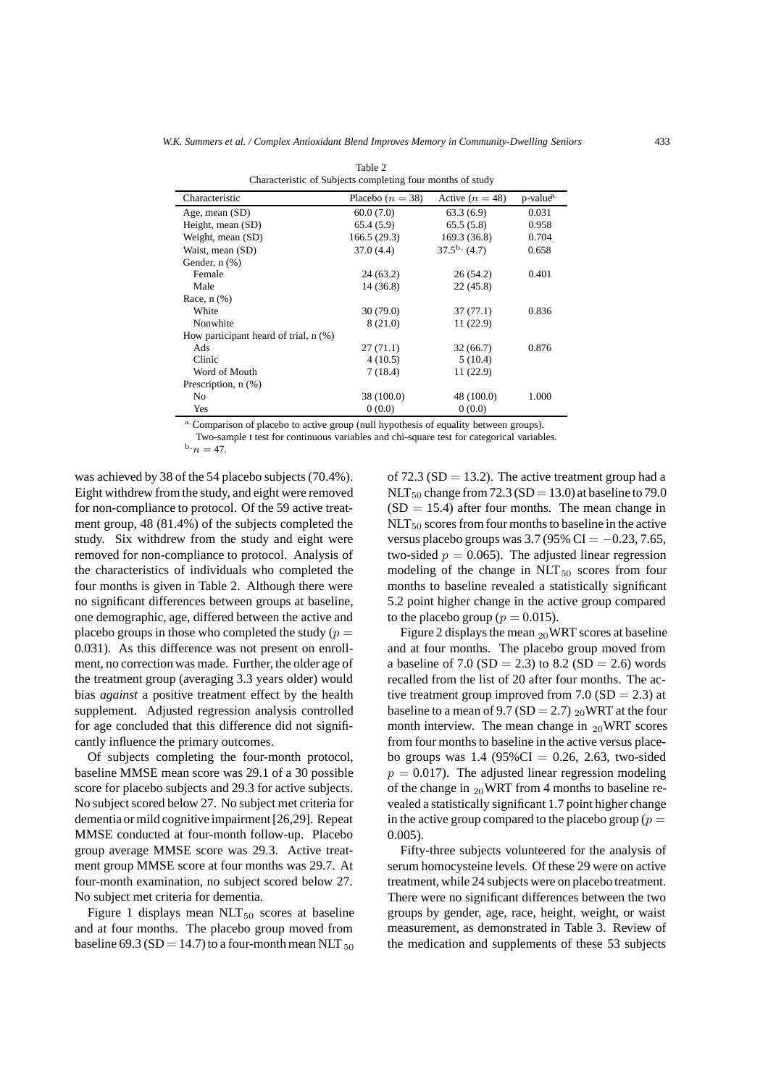|             | Active $(n = 48)$        | p-value <sup>a.</sup> |
|-------------|--------------------------|-----------------------|
| 60.0(7.0)   | 63.3(6.9)                | 0.031                 |
| 65.4(5.9)   | 65.5(5.8)                | 0.958                 |
| 166.5(29.3) | 169.3(36.8)              | 0.704                 |
| 37.0(4.4)   | $37.5^{\mathrm{b}}(4.7)$ | 0.658                 |
|             |                          |                       |
| 24(63.2)    | 26 (54.2)                | 0.401                 |
| 14 (36.8)   | 22(45.8)                 |                       |
|             |                          |                       |
| 30(79.0)    | 37 (77.1)                | 0.836                 |
| 8(21.0)     | 11(22.9)                 |                       |
|             |                          |                       |
| 27(71.1)    | 32(66.7)                 | 0.876                 |
| 4(10.5)     | 5(10.4)                  |                       |
| 7(18.4)     | 11(22.9)                 |                       |
|             |                          |                       |
| 38 (100.0)  | 48 (100.0)               | 1.000                 |
| 0(0.0)      | 0(0.0)                   |                       |
|             | Placebo $(n = 38)$       |                       |

Table 2 Characteristic of Subjects completing four months of study

<sup>a</sup>*.*Comparison of placebo to active group (null hypothesis of equality between groups).

Two-sample t test for continuous variables and chi-square test for categorical variables.  $^{b.}n = 47.$ 

was achieved by 38 of the 54 placebo subjects (70.4%). Eight withdrew from the study, and eight were removed for non-compliance to protocol. Of the 59 active treatment group, 48 (81.4%) of the subjects completed the study. Six withdrew from the study and eight were removed for non-compliance to protocol. Analysis of the characteristics of individuals who completed the four months is given in Table 2. Although there were no significant differences between groups at baseline, one demographic, age, differed between the active and placebo groups in those who completed the study  $(p =$ 0.031). As this difference was not present on enrollment, no correction was made. Further, the older age of the treatment group (averaging 3.3 years older) would bias *against* a positive treatment effect by the health supplement. Adjusted regression analysis controlled for age concluded that this difference did not significantly influence the primary outcomes.

Of subjects completing the four-month protocol, baseline MMSE mean score was 29.1 of a 30 possible score for placebo subjects and 29.3 for active subjects. No subject scored below 27. No subject met criteria for dementia or mild cognitive impairment [26,29]. Repeat MMSE conducted at four-month follow-up. Placebo group average MMSE score was 29.3. Active treatment group MMSE score at four months was 29.7. At four-month examination, no subject scored below 27. No subject met criteria for dementia.

Figure 1 displays mean  $NLT_{50}$  scores at baseline and at four months. The placebo group moved from baseline 69.3 (SD = 14.7) to a four-month mean NLT  $_{50}$  of 72.3 ( $SD = 13.2$ ). The active treatment group had a NLT<sub>50</sub> change from 72.3 (SD = 13.0) at baseline to 79.0  $(SD = 15.4)$  after four months. The mean change in  $NLT_{50}$  scores from four months to baseline in the active versus placebo groups was 3.7 (95% CI = *−*0.23, 7.65, two-sided  $p = 0.065$ ). The adjusted linear regression modeling of the change in  $NLT_{50}$  scores from four months to baseline revealed a statistically significant 5.2 point higher change in the active group compared to the placebo group ( $p = 0.015$ ).

Figure 2 displays the mean  $_{20}$ WRT scores at baseline and at four months. The placebo group moved from a baseline of 7.0 (SD = 2.3) to 8.2 (SD = 2.6) words recalled from the list of 20 after four months. The active treatment group improved from 7.0 ( $SD = 2.3$ ) at baseline to a mean of 9.7 (SD = 2.7)  $_{20}$ WRT at the four month interview. The mean change in  $_{20}$ WRT scores from four months to baseline in the active versus placebo groups was 1.4 (95% $CI = 0.26$ , 2.63, two-sided  $p = 0.017$ . The adjusted linear regression modeling of the change in  $_{20}$ WRT from 4 months to baseline revealed a statistically significant 1.7 point higher change in the active group compared to the placebo group ( $p =$ 0.005).

Fifty-three subjects volunteered for the analysis of serum homocysteine levels. Of these 29 were on active treatment, while 24 subjects were on placebo treatment. There were no significant differences between the two groups by gender, age, race, height, weight, or waist measurement, as demonstrated in Table 3. Review of the medication and supplements of these 53 subjects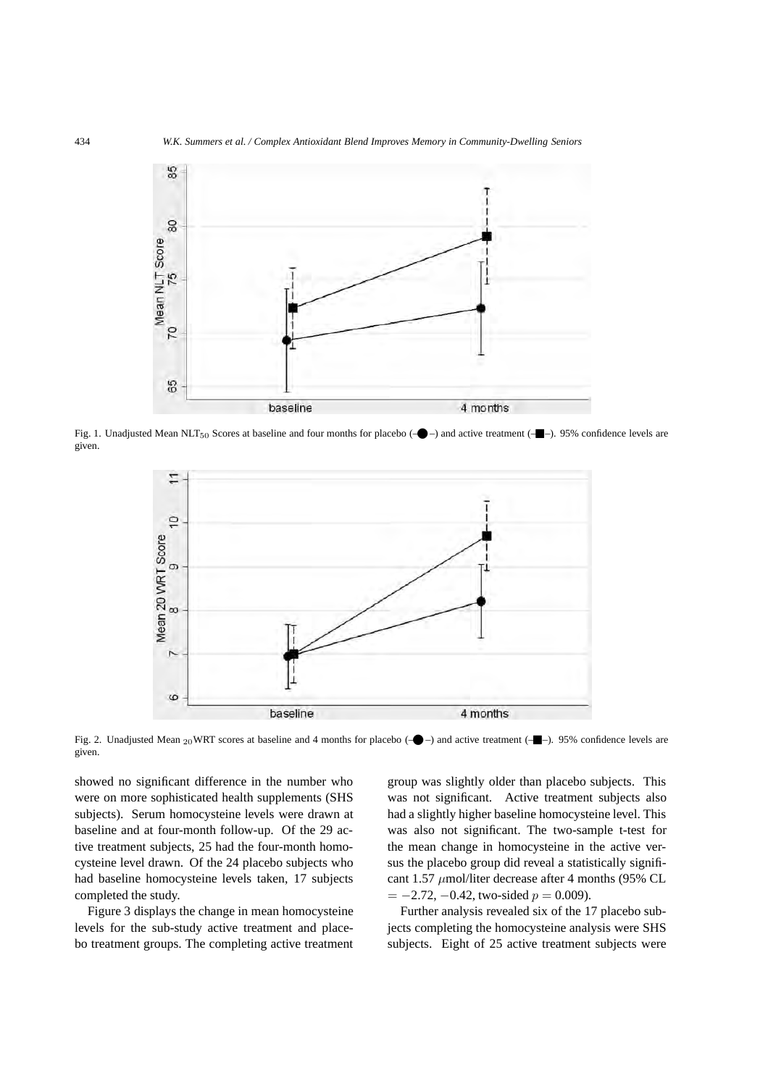

Fig. 1. Unadjusted Mean NLT<sub>50</sub> Scores at baseline and four months for placebo ( $\blacktriangleleft$ ) and active treatment ( $\blacktriangleleft$ ). 95% confidence levels are given.



Fig. 2. Unadjusted Mean <sub>20</sub>WRT scores at baseline and 4 months for placebo ( $\bigcirc$ ) and active treatment ( $\bigcirc$ ). 95% confidence levels are given.

showed no significant difference in the number who were on more sophisticated health supplements (SHS subjects). Serum homocysteine levels were drawn at baseline and at four-month follow-up. Of the 29 active treatment subjects, 25 had the four-month homocysteine level drawn. Of the 24 placebo subjects who had baseline homocysteine levels taken, 17 subjects completed the study.

Figure 3 displays the change in mean homocysteine levels for the sub-study active treatment and placebo treatment groups. The completing active treatment

group was slightly older than placebo subjects. This was not significant. Active treatment subjects also had a slightly higher baseline homocysteine level. This was also not significant. The two-sample t-test for the mean change in homocysteine in the active versus the placebo group did reveal a statistically significant 1.57 *µ*mol/liter decrease after 4 months (95% CL = *−*2.72, *−*0.42, two-sided *p* = 0.009).

Further analysis revealed six of the 17 placebo subjects completing the homocysteine analysis were SHS subjects. Eight of 25 active treatment subjects were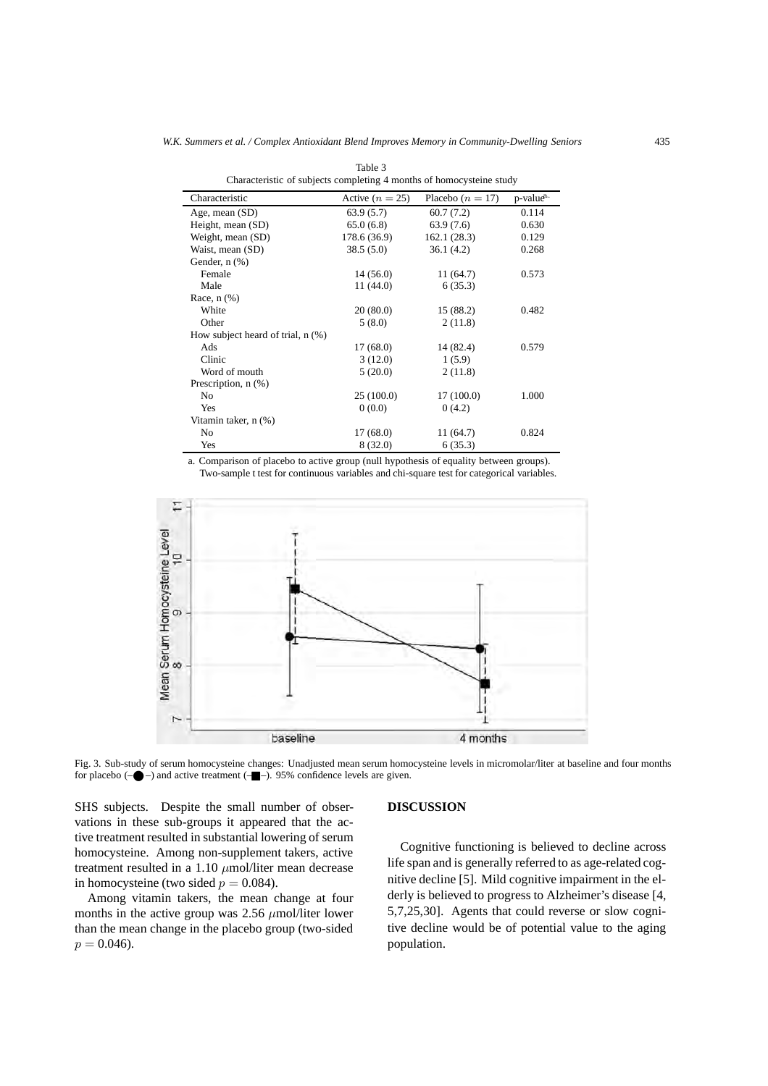| Characteristic of subjects completing + months of homocysteme study |                   |                    |                       |  |  |  |
|---------------------------------------------------------------------|-------------------|--------------------|-----------------------|--|--|--|
| Characteristic                                                      | Active $(n = 25)$ | Placebo $(n = 17)$ | p-value <sup>a.</sup> |  |  |  |
| Age, mean (SD)                                                      | 63.9(5.7)         | 60.7(7.2)          | 0.114                 |  |  |  |
| Height, mean (SD)                                                   | 65.0(6.8)         | 63.9(7.6)          | 0.630                 |  |  |  |
| Weight, mean (SD)                                                   | 178.6 (36.9)      | 162.1(28.3)        | 0.129                 |  |  |  |
| Waist, mean (SD)                                                    | 38.5(5.0)         | 36.1(4.2)          | 0.268                 |  |  |  |
| Gender, $n$ $(\%)$                                                  |                   |                    |                       |  |  |  |
| Female                                                              | 14(56.0)          | 11 (64.7)          | 0.573                 |  |  |  |
| Male                                                                | 11(44.0)          | 6(35.3)            |                       |  |  |  |
| Race, $n$ $(\%)$                                                    |                   |                    |                       |  |  |  |
| White                                                               | 20(80.0)          | 15 (88.2)          | 0.482                 |  |  |  |
| Other                                                               | 5(8.0)            | 2(11.8)            |                       |  |  |  |
| How subject heard of trial, n (%)                                   |                   |                    |                       |  |  |  |
| Ads                                                                 | 17(68.0)          | 14 (82.4)          | 0.579                 |  |  |  |
| Clinic                                                              | 3(12.0)           | 1(5.9)             |                       |  |  |  |
| Word of mouth                                                       | 5(20.0)           | 2(11.8)            |                       |  |  |  |
| Prescription, $n$ $(\%)$                                            |                   |                    |                       |  |  |  |
| No.                                                                 | 25(100.0)         | 17 (100.0)         | 1.000                 |  |  |  |
| Yes                                                                 | 0(0.0)            | 0(4.2)             |                       |  |  |  |
| Vitamin taker, n (%)                                                |                   |                    |                       |  |  |  |
| No.                                                                 | 17(68.0)          | 11 (64.7)          | 0.824                 |  |  |  |
| Yes                                                                 | 8(32.0)           | 6(35.3)            |                       |  |  |  |

Table 3 Characteristic of subjects completing 4 months of homocysteine study

a. Comparison of placebo to active group (null hypothesis of equality between groups). Two-sample t test for continuous variables and chi-square test for categorical variables.



Fig. 3. Sub-study of serum homocysteine changes: Unadjusted mean serum homocysteine levels in micromolar/liter at baseline and four months for placebo ( $-\bullet$ ) and active treatment ( $-\bullet$ ). 95% confidence levels are given.

SHS subjects. Despite the small number of observations in these sub-groups it appeared that the active treatment resulted in substantial lowering of serum homocysteine. Among non-supplement takers, active treatment resulted in a 1.10 *µ*mol/liter mean decrease in homocysteine (two sided  $p = 0.084$ ).

Among vitamin takers, the mean change at four months in the active group was 2.56 *µ*mol/liter lower than the mean change in the placebo group (two-sided  $p = 0.046$ .

# **DISCUSSION**

Cognitive functioning is believed to decline across life span and is generally referred to as age-related cognitive decline [5]. Mild cognitive impairment in the elderly is believed to progress to Alzheimer's disease [4, 5,7,25,30]. Agents that could reverse or slow cognitive decline would be of potential value to the aging population.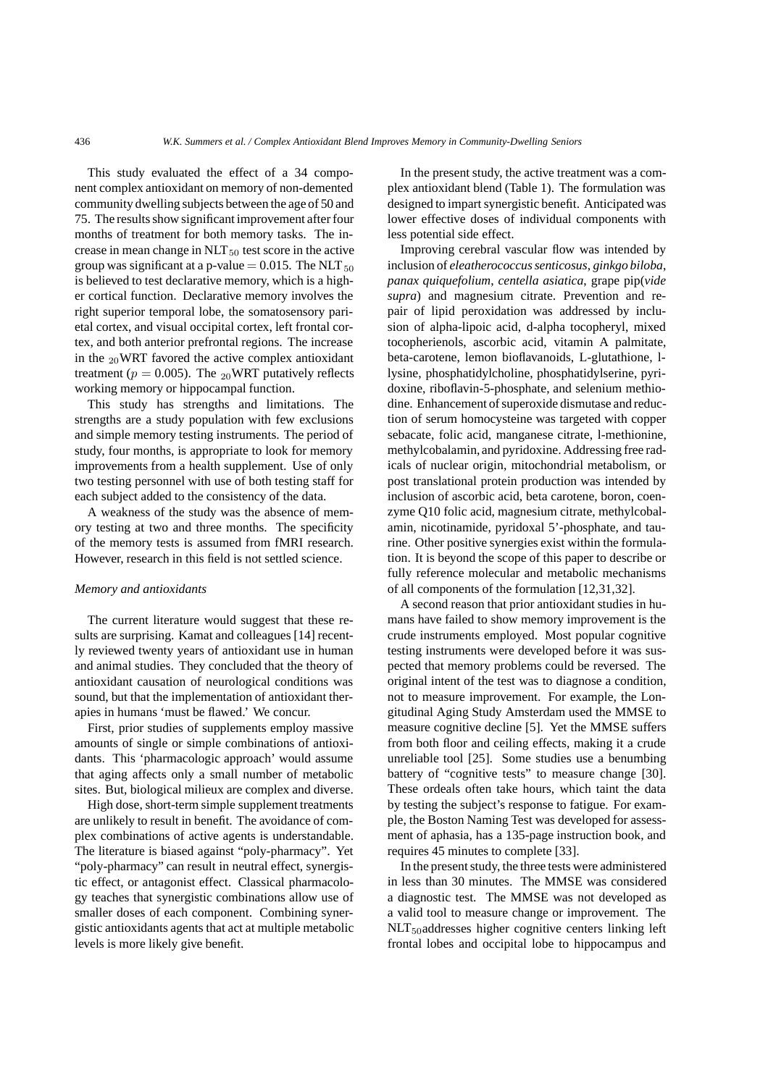This study evaluated the effect of a 34 component complex antioxidant on memory of non-demented community dwelling subjects between the age of 50 and 75. The results show significant improvement after four months of treatment for both memory tasks. The increase in mean change in  $NLT_{50}$  test score in the active group was significant at a p-value  $= 0.015$ . The NLT<sub>50</sub> is believed to test declarative memory, which is a higher cortical function. Declarative memory involves the right superior temporal lobe, the somatosensory parietal cortex, and visual occipital cortex, left frontal cortex, and both anterior prefrontal regions. The increase in the  $_{20}$ WRT favored the active complex antioxidant treatment ( $p = 0.005$ ). The <sub>20</sub>WRT putatively reflects working memory or hippocampal function.

This study has strengths and limitations. The strengths are a study population with few exclusions and simple memory testing instruments. The period of study, four months, is appropriate to look for memory improvements from a health supplement. Use of only two testing personnel with use of both testing staff for each subject added to the consistency of the data.

A weakness of the study was the absence of memory testing at two and three months. The specificity of the memory tests is assumed from fMRI research. However, research in this field is not settled science.

# *Memory and antioxidants*

The current literature would suggest that these results are surprising. Kamat and colleagues [14] recently reviewed twenty years of antioxidant use in human and animal studies. They concluded that the theory of antioxidant causation of neurological conditions was sound, but that the implementation of antioxidant therapies in humans 'must be flawed.' We concur.

First, prior studies of supplements employ massive amounts of single or simple combinations of antioxidants. This 'pharmacologic approach' would assume that aging affects only a small number of metabolic sites. But, biological milieux are complex and diverse.

High dose, short-term simple supplement treatments are unlikely to result in benefit. The avoidance of complex combinations of active agents is understandable. The literature is biased against "poly-pharmacy". Yet "poly-pharmacy" can result in neutral effect, synergistic effect, or antagonist effect. Classical pharmacology teaches that synergistic combinations allow use of smaller doses of each component. Combining synergistic antioxidants agents that act at multiple metabolic levels is more likely give benefit.

In the present study, the active treatment was a complex antioxidant blend (Table 1). The formulation was designed to impart synergistic benefit. Anticipated was lower effective doses of individual components with less potential side effect.

Improving cerebral vascular flow was intended by inclusion of *eleatherococcus senticosus*, *ginkgo biloba*, *panax quiquefolium*, *centella asiatica*, grape pip(*vide supra*) and magnesium citrate. Prevention and repair of lipid peroxidation was addressed by inclusion of alpha-lipoic acid, d-alpha tocopheryl, mixed tocopherienols, ascorbic acid, vitamin A palmitate, beta-carotene, lemon bioflavanoids, L-glutathione, llysine, phosphatidylcholine, phosphatidylserine, pyridoxine, riboflavin-5-phosphate, and selenium methiodine. Enhancement of superoxide dismutase and reduction of serum homocysteine was targeted with copper sebacate, folic acid, manganese citrate, l-methionine, methylcobalamin, and pyridoxine. Addressing free radicals of nuclear origin, mitochondrial metabolism, or post translational protein production was intended by inclusion of ascorbic acid, beta carotene, boron, coenzyme Q10 folic acid, magnesium citrate, methylcobalamin, nicotinamide, pyridoxal 5'-phosphate, and taurine. Other positive synergies exist within the formulation. It is beyond the scope of this paper to describe or fully reference molecular and metabolic mechanisms of all components of the formulation [12,31,32].

A second reason that prior antioxidant studies in humans have failed to show memory improvement is the crude instruments employed. Most popular cognitive testing instruments were developed before it was suspected that memory problems could be reversed. The original intent of the test was to diagnose a condition, not to measure improvement. For example, the Longitudinal Aging Study Amsterdam used the MMSE to measure cognitive decline [5]. Yet the MMSE suffers from both floor and ceiling effects, making it a crude unreliable tool [25]. Some studies use a benumbing battery of "cognitive tests" to measure change [30]. These ordeals often take hours, which taint the data by testing the subject's response to fatigue. For example, the Boston Naming Test was developed for assessment of aphasia, has a 135-page instruction book, and requires 45 minutes to complete [33].

In the present study, the three tests were administered in less than 30 minutes. The MMSE was considered a diagnostic test. The MMSE was not developed as a valid tool to measure change or improvement. The  $NLT_{50}$ addresses higher cognitive centers linking left frontal lobes and occipital lobe to hippocampus and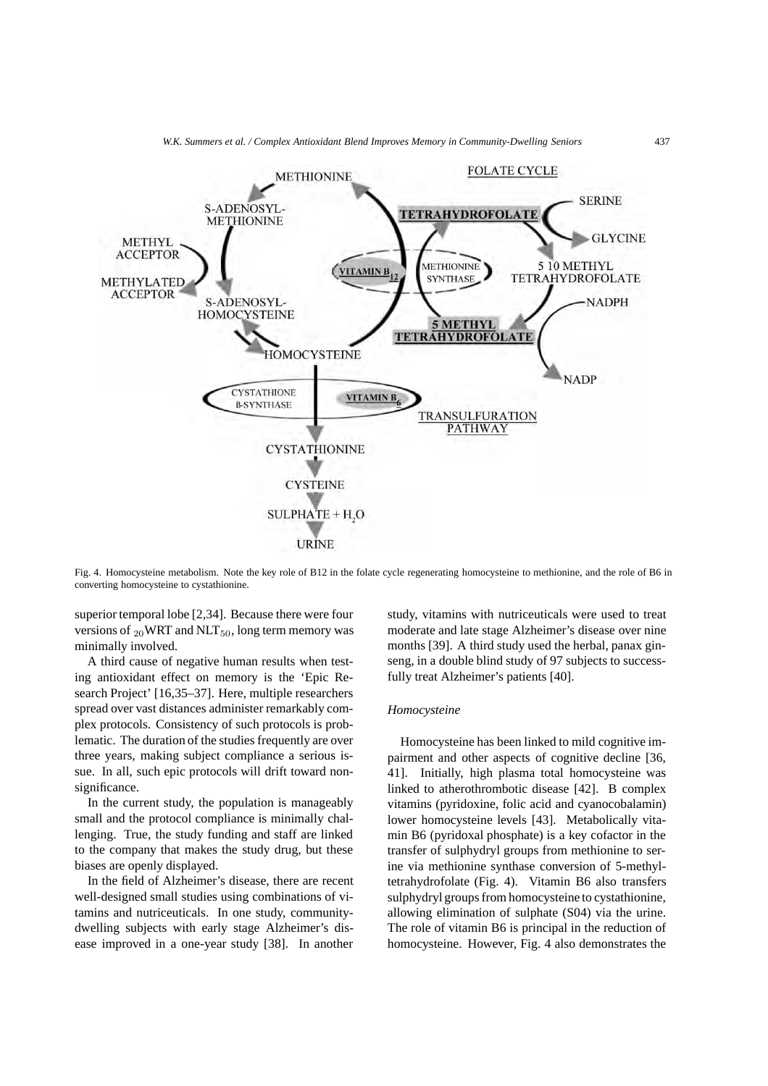

Fig. 4. Homocysteine metabolism. Note the key role of B12 in the folate cycle regenerating homocysteine to methionine, and the role of B6 in converting homocysteine to cystathionine.

superior temporal lobe [2,34]. Because there were four versions of  $_{20}$ WRT and NLT<sub>50</sub>, long term memory was minimally involved.

A third cause of negative human results when testing antioxidant effect on memory is the 'Epic Research Project' [16,35–37]. Here, multiple researchers spread over vast distances administer remarkably complex protocols. Consistency of such protocols is problematic. The duration of the studies frequently are over three years, making subject compliance a serious issue. In all, such epic protocols will drift toward nonsignificance.

In the current study, the population is manageably small and the protocol compliance is minimally challenging. True, the study funding and staff are linked to the company that makes the study drug, but these biases are openly displayed.

In the field of Alzheimer's disease, there are recent well-designed small studies using combinations of vitamins and nutriceuticals. In one study, communitydwelling subjects with early stage Alzheimer's disease improved in a one-year study [38]. In another

study, vitamins with nutriceuticals were used to treat moderate and late stage Alzheimer's disease over nine months [39]. A third study used the herbal, panax ginseng, in a double blind study of 97 subjects to successfully treat Alzheimer's patients [40].

#### *Homocysteine*

Homocysteine has been linked to mild cognitive impairment and other aspects of cognitive decline [36, 41]. Initially, high plasma total homocysteine was linked to atherothrombotic disease [42]. B complex vitamins (pyridoxine, folic acid and cyanocobalamin) lower homocysteine levels [43]. Metabolically vitamin B6 (pyridoxal phosphate) is a key cofactor in the transfer of sulphydryl groups from methionine to serine via methionine synthase conversion of 5-methyltetrahydrofolate (Fig. 4). Vitamin B6 also transfers sulphydryl groups from homocysteine to cystathionine, allowing elimination of sulphate (S04) via the urine. The role of vitamin B6 is principal in the reduction of homocysteine. However, Fig. 4 also demonstrates the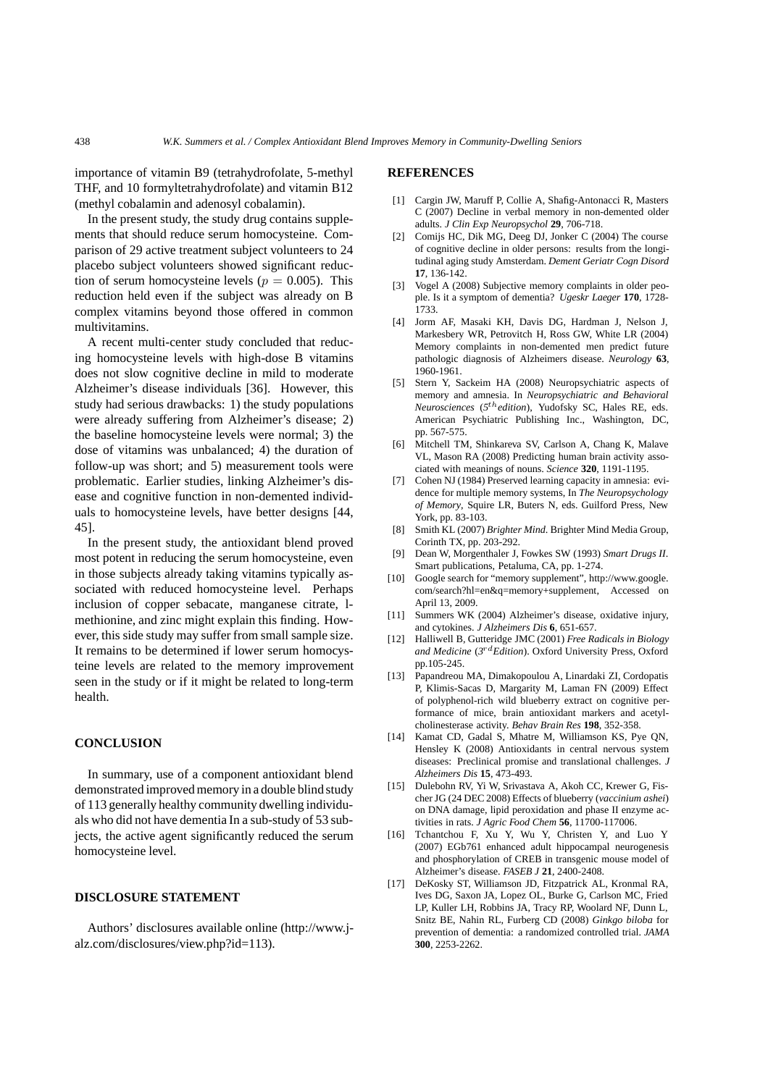importance of vitamin B9 (tetrahydrofolate, 5-methyl THF, and 10 formyltetrahydrofolate) and vitamin B12 (methyl cobalamin and adenosyl cobalamin).

In the present study, the study drug contains supplements that should reduce serum homocysteine. Comparison of 29 active treatment subject volunteers to 24 placebo subject volunteers showed significant reduction of serum homocysteine levels ( $p = 0.005$ ). This reduction held even if the subject was already on B complex vitamins beyond those offered in common multivitamins.

A recent multi-center study concluded that reducing homocysteine levels with high-dose B vitamins does not slow cognitive decline in mild to moderate Alzheimer's disease individuals [36]. However, this study had serious drawbacks: 1) the study populations were already suffering from Alzheimer's disease; 2) the baseline homocysteine levels were normal; 3) the dose of vitamins was unbalanced; 4) the duration of follow-up was short; and 5) measurement tools were problematic. Earlier studies, linking Alzheimer's disease and cognitive function in non-demented individuals to homocysteine levels, have better designs [44, 45].

In the present study, the antioxidant blend proved most potent in reducing the serum homocysteine, even in those subjects already taking vitamins typically associated with reduced homocysteine level. Perhaps inclusion of copper sebacate, manganese citrate, lmethionine, and zinc might explain this finding. However, this side study may suffer from small sample size. It remains to be determined if lower serum homocysteine levels are related to the memory improvement seen in the study or if it might be related to long-term health.

## **CONCLUSION**

In summary, use of a component antioxidant blend demonstrated improved memory in a double blind study of 113 generally healthy community dwelling individuals who did not have dementia In a sub-study of 53 subjects, the active agent significantly reduced the serum homocysteine level.

## **DISCLOSURE STATEMENT**

Authors' disclosures available online (http://www.jalz.com/disclosures/view.php?id=113).

## **REFERENCES**

- [1] Cargin JW, Maruff P, Collie A, Shafig-Antonacci R, Masters C (2007) Decline in verbal memory in non-demented older adults. *J Clin Exp Neuropsychol* **29**, 706-718.
- [2] Comijs HC, Dik MG, Deeg DJ, Jonker C (2004) The course of cognitive decline in older persons: results from the longitudinal aging study Amsterdam. *Dement Geriatr Cogn Disord* **17**, 136-142.
- [3] Vogel A (2008) Subjective memory complaints in older people. Is it a symptom of dementia? *Ugeskr Laeger* **170**, 1728- 1733.
- [4] Jorm AF, Masaki KH, Davis DG, Hardman J, Nelson J, Markesbery WR, Petrovitch H, Ross GW, White LR (2004) Memory complaints in non-demented men predict future pathologic diagnosis of Alzheimers disease. *Neurology* **63**, 1960-1961.
- [5] Stern Y, Sackeim HA (2008) Neuropsychiatric aspects of memory and amnesia. In *Neuropsychiatric and Behavioral Neurosciences* (*5thedition*), Yudofsky SC, Hales RE, eds. American Psychiatric Publishing Inc., Washington, DC, pp. 567-575.
- [6] Mitchell TM, Shinkareva SV, Carlson A, Chang K, Malave VL, Mason RA (2008) Predicting human brain activity associated with meanings of nouns. *Science* **320**, 1191-1195.
- [7] Cohen NJ (1984) Preserved learning capacity in amnesia: evidence for multiple memory systems, In *The Neuropsychology of Memory*, Squire LR, Buters N, eds. Guilford Press, New York, pp. 83-103.
- [8] Smith KL (2007) *Brighter Mind*. Brighter Mind Media Group, Corinth TX, pp. 203-292.
- [9] Dean W, Morgenthaler J, Fowkes SW (1993) *Smart Drugs II*. Smart publications, Petaluma, CA, pp. 1-274.
- [10] Google search for "memory supplement", http://www.google. com/search?hl=en&q=memory+supplement, Accessed on April 13, 2009.
- [11] Summers WK (2004) Alzheimer's disease, oxidative injury, and cytokines. *J Alzheimers Dis* **6**, 651-657.
- [12] Halliwell B, Gutteridge JMC (2001) *Free Radicals in Biology and Medicine* (*3rdEdition*). Oxford University Press, Oxford pp.105-245.
- [13] Papandreou MA, Dimakopoulou A, Linardaki ZI, Cordopatis P, Klimis-Sacas D, Margarity M, Laman FN (2009) Effect of polyphenol-rich wild blueberry extract on cognitive performance of mice, brain antioxidant markers and acetylcholinesterase activity. *Behav Brain Res* **198**, 352-358.
- [14] Kamat CD, Gadal S, Mhatre M, Williamson KS, Pye QN, Hensley K (2008) Antioxidants in central nervous system diseases: Preclinical promise and translational challenges. *J Alzheimers Dis* **15**, 473-493.
- [15] Dulebohn RV, Yi W, Srivastava A, Akoh CC, Krewer G, Fischer JG (24 DEC 2008) Effects of blueberry (*vaccinium ashei*) on DNA damage, lipid peroxidation and phase II enzyme activities in rats. *J Agric Food Chem* **56**, 11700-117006.
- [16] Tchantchou F, Xu Y, Wu Y, Christen Y, and Luo Y (2007) EGb761 enhanced adult hippocampal neurogenesis and phosphorylation of CREB in transgenic mouse model of Alzheimer's disease. *FASEB J* **21**, 2400-2408.
- [17] DeKosky ST, Williamson JD, Fitzpatrick AL, Kronmal RA, Ives DG, Saxon JA, Lopez OL, Burke G, Carlson MC, Fried LP, Kuller LH, Robbins JA, Tracy RP, Woolard NF, Dunn L, Snitz BE, Nahin RL, Furberg CD (2008) *Ginkgo biloba* for prevention of dementia: a randomized controlled trial. *JAMA* **300**, 2253-2262.